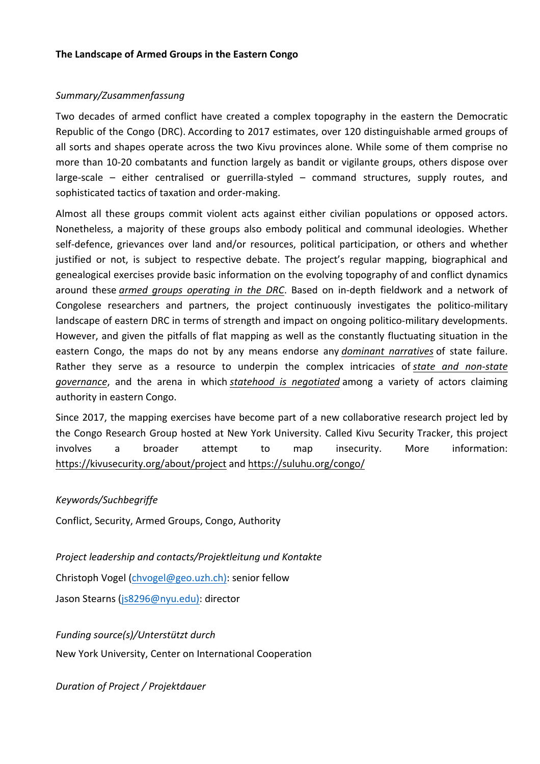## *Summary/Zusammenfassung*

Two decades of armed conflict have created a complex topography in the eastern the Democratic Republic of the Congo (DRC). According to 2017 estimates, over 120 distinguishable armed groups of all sorts and shapes operate across the two Kivu provinces alone. While some of them comprise no more than 10-20 combatants and function largely as bandit or vigilante groups, others dispose over large-scale  $-$  either centralised or guerrilla-styled  $-$  command structures, supply routes, and sophisticated tactics of taxation and order-making.

Almost all these groups commit violent acts against either civilian populations or opposed actors. Nonetheless, a majority of these groups also embody political and communal ideologies. Whether self-defence, grievances over land and/or resources, political participation, or others and whether justified or not, is subject to respective debate. The project's regular mapping, biographical and genealogical exercises provide basic information on the evolving topography of and conflict dynamics around these *armed groups operating in the DRC*. Based on in-depth fieldwork and a network of Congolese researchers and partners, the project continuously investigates the politico-military landscape of eastern DRC in terms of strength and impact on ongoing politico-military developments. However, and given the pitfalls of flat mapping as well as the constantly fluctuating situation in the eastern Congo, the maps do not by any means endorse any *dominant narratives* of state failure. Rather they serve as a resource to underpin the complex intricacies of *state and non-state governance*, and the arena in which *statehood* is *negotiated* among a variety of actors claiming authority in eastern Congo.

Since 2017, the mapping exercises have become part of a new collaborative research project led by the Congo Research Group hosted at New York University. Called Kivu Security Tracker, this project involves a broader attempt to map insecurity. More information: https://kivusecurity.org/about/project and https://suluhu.org/congo/

## *Keywords/Suchbegriffe*

Conflict, Security, Armed Groups, Congo, Authority

Project leadership and contacts/Projektleitung und Kontakte

Christoph Vogel (chvogel@geo.uzh.ch): senior fellow

Jason Stearns (js8296@nyu.edu): director

*Funding source(s)/Unterstützt durch*

New York University, Center on International Cooperation

*Duration of Project / Projektdauer*